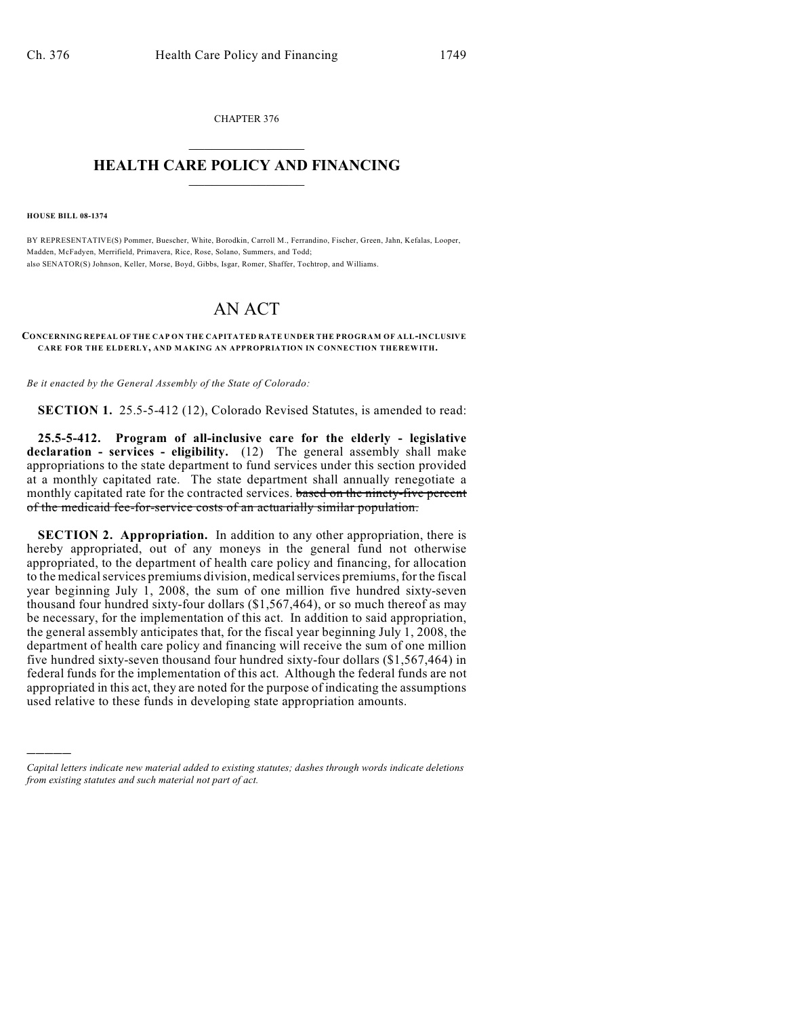CHAPTER 376  $\overline{\phantom{a}}$  . The set of the set of the set of the set of the set of the set of the set of the set of the set of the set of the set of the set of the set of the set of the set of the set of the set of the set of the set o

## **HEALTH CARE POLICY AND FINANCING**  $\_$   $\_$   $\_$   $\_$   $\_$   $\_$   $\_$   $\_$

**HOUSE BILL 08-1374**

)))))

BY REPRESENTATIVE(S) Pommer, Buescher, White, Borodkin, Carroll M., Ferrandino, Fischer, Green, Jahn, Kefalas, Looper, Madden, McFadyen, Merrifield, Primavera, Rice, Rose, Solano, Summers, and Todd; also SENATOR(S) Johnson, Keller, Morse, Boyd, Gibbs, Isgar, Romer, Shaffer, Tochtrop, and Williams.

## AN ACT

## **CONCERNING REPEAL OF THE CAP ON THE CAPITATED RATE UNDER THE PROGRAM OF ALL-INCLUSIVE CARE FOR THE ELDERLY, AND MAKING AN APPROPRIATION IN CONNECTION THEREWITH.**

*Be it enacted by the General Assembly of the State of Colorado:*

**SECTION 1.** 25.5-5-412 (12), Colorado Revised Statutes, is amended to read:

**25.5-5-412. Program of all-inclusive care for the elderly - legislative declaration - services - eligibility.** (12) The general assembly shall make appropriations to the state department to fund services under this section provided at a monthly capitated rate. The state department shall annually renegotiate a monthly capitated rate for the contracted services. based on the ninety-five percent of the medicaid fee-for-service costs of an actuarially similar population.

**SECTION 2. Appropriation.** In addition to any other appropriation, there is hereby appropriated, out of any moneys in the general fund not otherwise appropriated, to the department of health care policy and financing, for allocation to the medical services premiums division, medical services premiums, for the fiscal year beginning July 1, 2008, the sum of one million five hundred sixty-seven thousand four hundred sixty-four dollars (\$1,567,464), or so much thereof as may be necessary, for the implementation of this act. In addition to said appropriation, the general assembly anticipates that, for the fiscal year beginning July 1, 2008, the department of health care policy and financing will receive the sum of one million five hundred sixty-seven thousand four hundred sixty-four dollars (\$1,567,464) in federal funds for the implementation of this act. Although the federal funds are not appropriated in this act, they are noted for the purpose of indicating the assumptions used relative to these funds in developing state appropriation amounts.

*Capital letters indicate new material added to existing statutes; dashes through words indicate deletions from existing statutes and such material not part of act.*